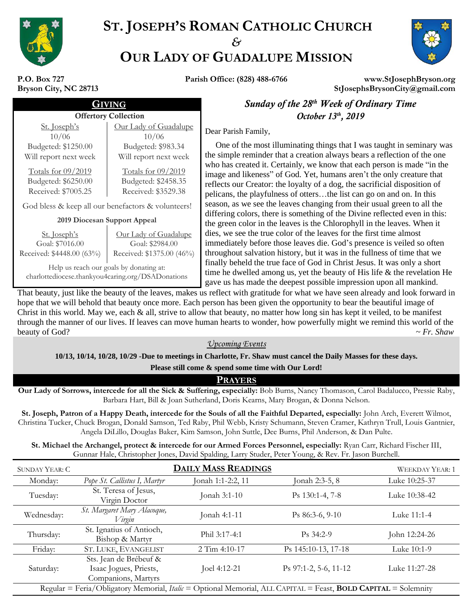

# **ST. JOSEPH'S ROMAN CATHOLIC CHURCH** *&* **OUR LADY OF GUADALUPE MISSION**



**P.O. Box 727 Bryson City, NC 28713**

**Parish Office: (828) 488-6766 www.StJosephBryson.org StJosephsBrysonCity@gmail.com**

| $\Gamma$ . DOX $121$  |  |  |  |  |
|-----------------------|--|--|--|--|
| Bryson City, NC 28713 |  |  |  |  |

#### *Offertory Collection* St. Joseph's 10/06 Budgeted: \$1250.00 Will report next week Totals for 09/2019 Budgeted: \$6250.00 Received: \$7005.25 Our Lady of Guadalupe 10/06 Budgeted: \$983.34 Will report next week Totals for 09/2019 Budgeted: \$2458.35 Received: \$3529.38 God bless & keep all our benefactors & volunteers! **2019 Diocesan Support Appeal**

St. Joseph's Goal: \$7016.00 Received: \$4448.00 (63%) Our Lady of Guadalupe Goal: \$2984.00 Received: \$1375.00 (46%)

Help us reach our goals by donating at: charlottediocese.thankyou4caring.org/DSADonations

 GIVING *Sunday of the 28 th Week of Ordinary Time* October 13<sup>th</sup>, 2019

Dear Parish Family,

 One of the most illuminating things that I was taught in seminary was the simple reminder that a creation always bears a reflection of the one who has created it. Certainly, we know that each person is made "in the image and likeness" of God. Yet, humans aren't the only creature that reflects our Creator: the loyalty of a dog, the sacrificial disposition of pelicans, the playfulness of otters…the list can go on and on. In this season, as we see the leaves changing from their usual green to all the differing colors, there is something of the Divine reflected even in this: the green color in the leaves is the Chlorophyll in the leaves. When it dies, we see the true color of the leaves for the first time almost immediately before those leaves die. God's presence is veiled so often throughout salvation history, but it was in the fullness of time that we finally beheld the true face of God in Christ Jesus. It was only a short time he dwelled among us, yet the beauty of His life & the revelation He gave us has made the deepest possible impression upon all mankind.

That beauty, just like the beauty of the leaves, makes us reflect with gratitude for what we have seen already and look forward in hope that we will behold that beauty once more. Each person has been given the opportunity to bear the beautiful image of Christ in this world. May we, each  $\&$  all, strive to allow that beauty, no matter how long sin has kept it veiled, to be manifest through the manner of our lives. If leaves can move human hearts to wonder, how powerfully might we remind this world of the beauty of God? *<sup>~</sup> Fr. Shaw*

### *Upcoming Events*

**10/13, 10/14, 10/28, 10/29 -Due to meetings in Charlotte, Fr. Shaw must cancel the Daily Masses for these days.** 

**Please still come & spend some time with Our Lord!**

### **PRAYERS**

**Our Lady of Sorrows, intercede for all the Sick & Suffering, especially:** Bob Burns, Nancy Thomason, Carol Badalucco, Pressie Raby, Barbara Hart, Bill & Joan Sutherland, Doris Kearns, Mary Brogan, & Donna Nelson.

**St. Joseph, Patron of a Happy Death, intercede for the Souls of all the Faithful Departed, especially:** John Arch, Everett Wilmot, Christina Tucker, Chuck Brogan, Donald Samson, Ted Raby, Phil Webb, Kristy Schumann, Steven Cramer, Kathryn Trull, Louis Gantnier, Angela DiLillo, Douglas Baker, Kim Samson, John Suttle, Dee Burns, Phil Anderson, & Dan Pulte.

**St. Michael the Archangel, protect & intercede for our Armed Forces Personnel, especially:** Ryan Carr, Richard Fischer III, Gunnar Hale, Christopher Jones, David Spalding, Larry Studer, Peter Young, & Rev. Fr. Jason Burchell.

| <b>SUNDAY YEAR: C</b>                                                                                                        | <b>DAILY MASS READINGS</b>                                              |                   |                       | <b>WEEKDAY YEAR: 1</b> |
|------------------------------------------------------------------------------------------------------------------------------|-------------------------------------------------------------------------|-------------------|-----------------------|------------------------|
| Monday:                                                                                                                      | Pope St. Callistus I, Martyr                                            | Jonah 1:1-2:2, 11 | Jonah 2:3-5, 8        | Luke 10:25-37          |
| Tuesday:                                                                                                                     | St. Teresa of Jesus,<br>Virgin Doctor                                   | Jonah 3:1-10      | Ps 130:1-4, 7-8       | Luke 10:38-42          |
| Wednesday:                                                                                                                   | St. Margaret Mary Alacoque,<br>Virgin                                   | Jonah 4:1-11      | $Ps 86:3-6, 9-10$     | Luke 11:1-4            |
| Thursday:                                                                                                                    | St. Ignatius of Antioch,<br>Bishop & Martyr                             | Phil 3:17-4:1     | $Ps.34:2-9$           | John 12:24-26          |
| Friday:                                                                                                                      | ST. LUKE, EVANGELIST                                                    | $2$ Tim 4:10-17   | Ps 145:10-13, 17-18   | Luke 10:1-9            |
| Saturday:                                                                                                                    | Sts. Jean de Brébeuf &<br>Isaac Jogues, Priests,<br>Companions, Martyrs | Joel 4:12-21      | Ps 97:1-2, 5-6, 11-12 | Luke 11:27-28          |
| Regular = Feria/Obligatory Memorial, <i>Italic</i> = Optional Memorial, ALL CAPITAL = Feast, <b>BOLD CAPITAL</b> = Solemnity |                                                                         |                   |                       |                        |